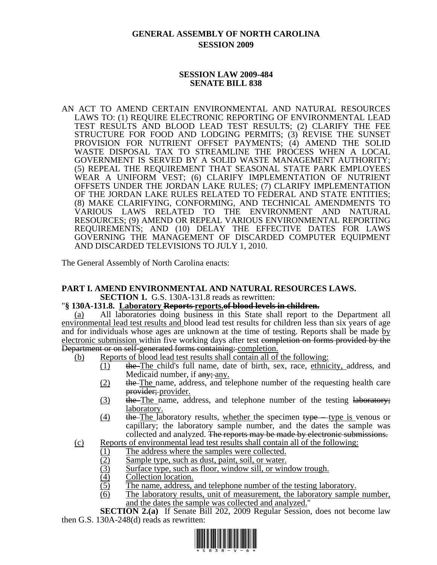# **GENERAL ASSEMBLY OF NORTH CAROLINA SESSION 2009**

### **SESSION LAW 2009-484 SENATE BILL 838**

AN ACT TO AMEND CERTAIN ENVIRONMENTAL AND NATURAL RESOURCES LAWS TO: (1) REQUIRE ELECTRONIC REPORTING OF ENVIRONMENTAL LEAD TEST RESULTS AND BLOOD LEAD TEST RESULTS; (2) CLARIFY THE FEE STRUCTURE FOR FOOD AND LODGING PERMITS; (3) REVISE THE SUNSET PROVISION FOR NUTRIENT OFFSET PAYMENTS; (4) AMEND THE SOLID WASTE DISPOSAL TAX TO STREAMLINE THE PROCESS WHEN A LOCAL GOVERNMENT IS SERVED BY A SOLID WASTE MANAGEMENT AUTHORITY; (5) REPEAL THE REQUIREMENT THAT SEASONAL STATE PARK EMPLOYEES WEAR A UNIFORM VEST; (6) CLARIFY IMPLEMENTATION OF NUTRIENT OFFSETS UNDER THE JORDAN LAKE RULES; (7) CLARIFY IMPLEMENTATION OF THE JORDAN LAKE RULES RELATED TO FEDERAL AND STATE ENTITIES; (8) MAKE CLARIFYING, CONFORMING, AND TECHNICAL AMENDMENTS TO VARIOUS LAWS RELATED TO THE ENVIRONMENT AND NATURAL RESOURCES; (9) AMEND OR REPEAL VARIOUS ENVIRONMENTAL REPORTING REQUIREMENTS; AND (10) DELAY THE EFFECTIVE DATES FOR LAWS GOVERNING THE MANAGEMENT OF DISCARDED COMPUTER EQUIPMENT AND DISCARDED TELEVISIONS TO JULY 1, 2010.

The General Assembly of North Carolina enacts:

#### **PART I. AMEND ENVIRONMENTAL AND NATURAL RESOURCES LAWS. SECTION 1.** G.S. 130A-131.8 reads as rewritten:

## "**§ 130A-131.8. Laboratory Reports reports.of blood levels in children.**

(a) All laboratories doing business in this State shall report to the Department all environmental lead test results and blood lead test results for children less than six years of age and for individuals whose ages are unknown at the time of testing. Reports shall be made by electronic submission within five working days after test completion on forms provided by the Department or on self-generated forms containing: completion.

- (b) Reports of blood lead test results shall contain all of the following:
	- (1) the The child's full name, date of birth, sex, race, ethnicity, address, and Medicaid number, if  $\frac{any}{, any}$ .
	- (2) the The name, address, and telephone number of the requesting health care provider; provider.
	- (3) the The name, address, and telephone number of the testing laboratory; laboratory.
	- $(4)$  the The laboratory results, whether the specimen type type is venous or capillary; the laboratory sample number, and the dates the sample was collected and analyzed. The reports may be made by electronic submissions.
- (c) Reports of environmental lead test results shall contain all of the following:
	- (1) The address where the samples were collected.
	- (2) Sample type, such as dust, paint, soil, or water.
	- (3) Surface type, such as floor, window sill, or window trough.
	- (4) Collection location.
	- (5) The name, address, and telephone number of the testing laboratory.
	- (6) The laboratory results, unit of measurement, the laboratory sample number, and the dates the sample was collected and analyzed."

**SECTION 2.(a)** If Senate Bill 202, 2009 Regular Session, does not become law then G.S. 130A-248(d) reads as rewritten:

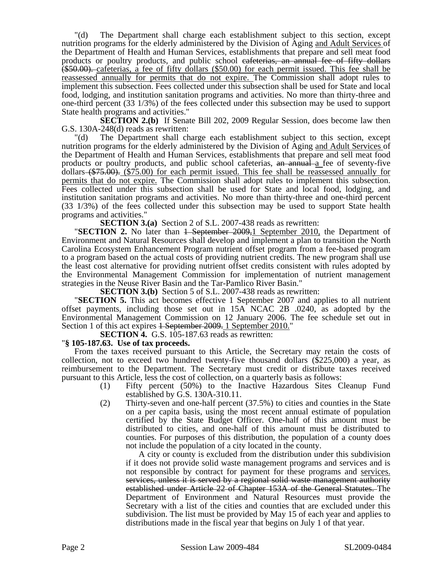"(d) The Department shall charge each establishment subject to this section, except nutrition programs for the elderly administered by the Division of Aging and Adult Services of the Department of Health and Human Services, establishments that prepare and sell meat food products or poultry products, and public school cafeterias, an annual fee of fifty dollars (\$50.00). cafeterias, a fee of fifty dollars (\$50.00) for each permit issued. This fee shall be reassessed annually for permits that do not expire. The Commission shall adopt rules to implement this subsection. Fees collected under this subsection shall be used for State and local food, lodging, and institution sanitation programs and activities. No more than thirty-three and one-third percent (33 1/3%) of the fees collected under this subsection may be used to support State health programs and activities."

**SECTION 2.(b)** If Senate Bill 202, 2009 Regular Session, does become law then G.S. 130A-248(d) reads as rewritten:

"(d) The Department shall charge each establishment subject to this section, except nutrition programs for the elderly administered by the Division of Aging and Adult Services of the Department of Health and Human Services, establishments that prepare and sell meat food products or poultry products, and public school cafeterias, an annual a fee of seventy-five dollars (\$75.00). (\$75.00) for each permit issued. This fee shall be reassessed annually for permits that do not expire. The Commission shall adopt rules to implement this subsection. Fees collected under this subsection shall be used for State and local food, lodging, and institution sanitation programs and activities. No more than thirty-three and one-third percent (33 1/3%) of the fees collected under this subsection may be used to support State health programs and activities."

**SECTION 3.(a)** Section 2 of S.L. 2007-438 reads as rewritten:

**"SECTION 2.** No later than <del>1 September 2009,</del>1 September 2010, the Department of Environment and Natural Resources shall develop and implement a plan to transition the North Carolina Ecosystem Enhancement Program nutrient offset program from a fee-based program to a program based on the actual costs of providing nutrient credits. The new program shall use the least cost alternative for providing nutrient offset credits consistent with rules adopted by the Environmental Management Commission for implementation of nutrient management strategies in the Neuse River Basin and the Tar-Pamlico River Basin."

**SECTION 3.(b)** Section 5 of S.L. 2007-438 reads as rewritten:

"**SECTION 5.** This act becomes effective 1 September 2007 and applies to all nutrient offset payments, including those set out in 15A NCAC 2B .0240, as adopted by the Environmental Management Commission on 12 January 2006. The fee schedule set out in Section 1 of this act expires <del>1 September 2009.</del> 1 September 2010."

**SECTION 4.** G.S. 105-187.63 reads as rewritten: "**§ 105-187.63. Use of tax proceeds.** 

From the taxes received pursuant to this Article, the Secretary may retain the costs of collection, not to exceed two hundred twenty-five thousand dollars (\$225,000) a year, as reimbursement to the Department. The Secretary must credit or distribute taxes received pursuant to this Article, less the cost of collection, on a quarterly basis as follows:

- (1) Fifty percent (50%) to the Inactive Hazardous Sites Cleanup Fund established by G.S. 130A-310.11.
- (2) Thirty-seven and one-half percent (37.5%) to cities and counties in the State on a per capita basis, using the most recent annual estimate of population certified by the State Budget Officer. One-half of this amount must be distributed to cities, and one-half of this amount must be distributed to counties. For purposes of this distribution, the population of a county does not include the population of a city located in the county.

A city or county is excluded from the distribution under this subdivision if it does not provide solid waste management programs and services and is not responsible by contract for payment for these programs and services. services, unless it is served by a regional solid waste management authority established under Article 22 of Chapter 153A of the General Statutes. The Department of Environment and Natural Resources must provide the Secretary with a list of the cities and counties that are excluded under this subdivision. The list must be provided by May 15 of each year and applies to distributions made in the fiscal year that begins on July 1 of that year.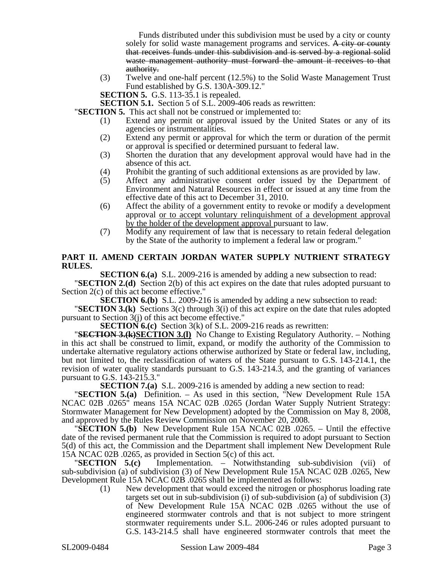Funds distributed under this subdivision must be used by a city or county solely for solid waste management programs and services. A city or county that receives funds under this subdivision and is served by a regional solid waste management authority must forward the amount it receives to that authority.

(3) Twelve and one-half percent (12.5%) to the Solid Waste Management Trust Fund established by G.S. 130A-309.12."

**SECTION 5.** G.S. 113-35.1 is repealed.

**SECTION 5.1.** Section 5 of S.L. 2009-406 reads as rewritten:

"**SECTION 5.** This act shall not be construed or implemented to:

- (1) Extend any permit or approval issued by the United States or any of its agencies or instrumentalities.
- (2) Extend any permit or approval for which the term or duration of the permit or approval is specified or determined pursuant to federal law.
- (3) Shorten the duration that any development approval would have had in the absence of this act.
- (4) Prohibit the granting of such additional extensions as are provided by law.<br>(5) Affect any administrative consent order issued by the Department
- Affect any administrative consent order issued by the Department of Environment and Natural Resources in effect or issued at any time from the effective date of this act to December 31, 2010.
- (6) Affect the ability of a government entity to revoke or modify a development approval or to accept voluntary relinquishment of a development approval by the holder of the development approval pursuant to law.
- (7) Modify any requirement of law that is necessary to retain federal delegation by the State of the authority to implement a federal law or program."

#### **PART II. AMEND CERTAIN JORDAN WATER SUPPLY NUTRIENT STRATEGY RULES.**

**SECTION 6.(a)** S.L. 2009-216 is amended by adding a new subsection to read:

"**SECTION 2.(d)** Section 2(b) of this act expires on the date that rules adopted pursuant to Section 2(c) of this act become effective."

**SECTION 6.(b)** S.L. 2009-216 is amended by adding a new subsection to read:

"**SECTION 3.(k)** Sections 3(c) through 3(i) of this act expire on the date that rules adopted pursuant to Section 3(j) of this act become effective."

**SECTION 6.(c)** Section 3(k) of S.L. 2009-216 reads as rewritten:<br>"**SECTION 3.(k)SECTION 3.(l)** No Change to Existing Regulatory Authority. – Nothing in this act shall be construed to limit, expand, or modify the authority of the Commission to undertake alternative regulatory actions otherwise authorized by State or federal law, including, but not limited to, the reclassification of waters of the State pursuant to G.S. 143-214.1, the revision of water quality standards pursuant to G.S. 143-214.3, and the granting of variances pursuant to G.S. 143-215.3."

**SECTION 7.(a)** S.L. 2009-216 is amended by adding a new section to read: "**SECTION 5.(a)** Definition. – As used in this section, "New Development Rule 15A NCAC 02B .0265" means 15A NCAC 02B .0265 (Jordan Water Supply Nutrient Strategy: Stormwater Management for New Development) adopted by the Commission on May 8, 2008, and approved by the Rules Review Commission on November 20, 2008. "**SECTION 5.(b)** New Development Rule 15A NCAC 02B .0265. – Until the effective

date of the revised permanent rule that the Commission is required to adopt pursuant to Section 5(d) of this act, the Commission and the Department shall implement New Development Rule

15A NCAC 02B .0265, as provided in Section 5(c) of this act.<br>"SECTION 5.(c) Implementation. - Notwithstane Implementation. – Notwithstanding sub-subdivision (vii) of sub-subdivision (a) of subdivision (3) of New Development Rule 15A NCAC 02B .0265, New Development Rule 15A NCAC 02B .0265 shall be implemented as follows:

(1) New development that would exceed the nitrogen or phosphorus loading rate targets set out in sub-subdivision (i) of sub-subdivision (a) of subdivision (3) of New Development Rule 15A NCAC 02B .0265 without the use of engineered stormwater controls and that is not subject to more stringent stormwater requirements under S.L. 2006-246 or rules adopted pursuant to G.S. 143-214.5 shall have engineered stormwater controls that meet the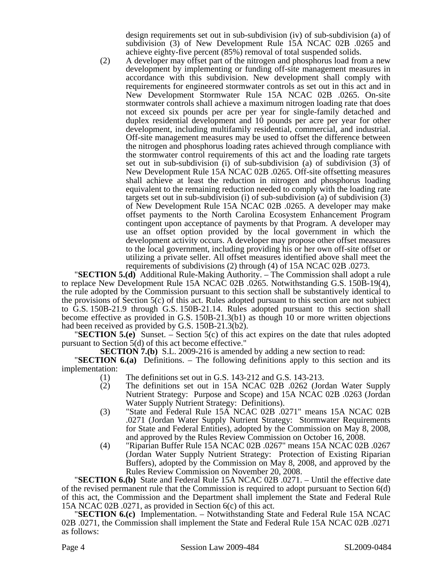design requirements set out in sub-subdivision (iv) of sub-subdivision (a) of subdivision (3) of New Development Rule 15A NCAC 02B .0265 and achieve eighty-five percent (85%) removal of total suspended solids.

(2) A developer may offset part of the nitrogen and phosphorus load from a new development by implementing or funding off-site management measures in accordance with this subdivision. New development shall comply with requirements for engineered stormwater controls as set out in this act and in New Development Stormwater Rule 15A NCAC 02B .0265. On-site stormwater controls shall achieve a maximum nitrogen loading rate that does not exceed six pounds per acre per year for single-family detached and duplex residential development and 10 pounds per acre per year for other development, including multifamily residential, commercial, and industrial. Off-site management measures may be used to offset the difference between the nitrogen and phosphorus loading rates achieved through compliance with the stormwater control requirements of this act and the loading rate targets set out in sub-subdivision (i) of sub-subdivision (a) of subdivision (3) of New Development Rule 15A NCAC 02B .0265. Off-site offsetting measures shall achieve at least the reduction in nitrogen and phosphorus loading equivalent to the remaining reduction needed to comply with the loading rate targets set out in sub-subdivision (i) of sub-subdivision (a) of subdivision (3) of New Development Rule 15A NCAC 02B .0265. A developer may make offset payments to the North Carolina Ecosystem Enhancement Program contingent upon acceptance of payments by that Program. A developer may use an offset option provided by the local government in which the development activity occurs. A developer may propose other offset measures to the local government, including providing his or her own off-site offset or utilizing a private seller. All offset measures identified above shall meet the requirements of subdivisions (2) through (4) of 15A NCAC 02B .0273.

"**SECTION 5.(d)** Additional Rule-Making Authority. – The Commission shall adopt a rule to replace New Development Rule 15A NCAC 02B .0265. Notwithstanding G.S. 150B-19(4), the rule adopted by the Commission pursuant to this section shall be substantively identical to the provisions of Section 5(c) of this act. Rules adopted pursuant to this section are not subject to G.S. 150B-21.9 through G.S. 150B-21.14. Rules adopted pursuant to this section shall become effective as provided in G.S. 150B-21.3(b1) as though 10 or more written objections

had been received as provided by G.S. 150B-21.3(b2). "**SECTION 5.(e)** Sunset. – Section 5(c) of this act expires on the date that rules adopted pursuant to Section 5(d) of this act become effective."

**SECTION 7.(b)** S.L. 2009-216 is amended by adding a new section to read: "**SECTION 6.(a)** Definitions. – The following definitions apply to this section and its implementation:

- (1) The definitions set out in G.S. 143-212 and G.S. 143-213.
- (2) The definitions set out in 15A NCAC 02B .0262 (Jordan Water Supply Nutrient Strategy: Purpose and Scope) and 15A NCAC 02B .0263 (Jordan Water Supply Nutrient Strategy: Definitions).
- (3) "State and Federal Rule 15A NCAC 02B .0271" means 15A NCAC 02B .0271 (Jordan Water Supply Nutrient Strategy: Stormwater Requirements for State and Federal Entities), adopted by the Commission on May 8, 2008, and approved by the Rules Review Commission on October 16, 2008.
- (4) "Riparian Buffer Rule 15A NCAC 02B .0267" means 15A NCAC 02B .0267 (Jordan Water Supply Nutrient Strategy: Protection of Existing Riparian Buffers), adopted by the Commission on May 8, 2008, and approved by the

Rules Review Commission on November 20, 2008. "**SECTION 6.(b)** State and Federal Rule 15A NCAC 02B .0271. – Until the effective date of the revised permanent rule that the Commission is required to adopt pursuant to Section 6(d) of this act, the Commission and the Department shall implement the State and Federal Rule 15A NCAC 02B .0271, as provided in Section 6(c) of this act.

"**SECTION 6.(c)** Implementation. – Notwithstanding State and Federal Rule 15A NCAC 02B .0271, the Commission shall implement the State and Federal Rule 15A NCAC 02B .0271 as follows: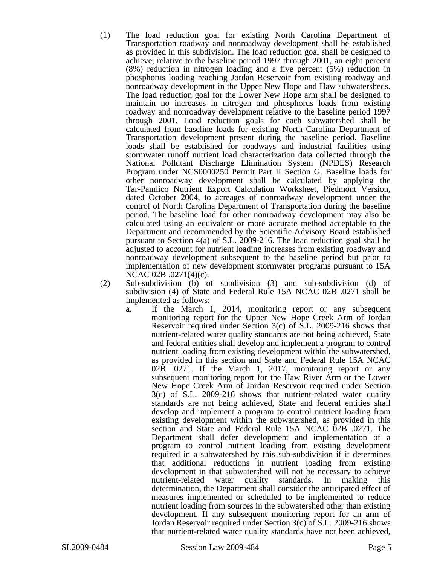- (1) The load reduction goal for existing North Carolina Department of Transportation roadway and nonroadway development shall be established as provided in this subdivision. The load reduction goal shall be designed to achieve, relative to the baseline period 1997 through 2001, an eight percent (8%) reduction in nitrogen loading and a five percent (5%) reduction in phosphorus loading reaching Jordan Reservoir from existing roadway and nonroadway development in the Upper New Hope and Haw subwatersheds. The load reduction goal for the Lower New Hope arm shall be designed to maintain no increases in nitrogen and phosphorus loads from existing roadway and nonroadway development relative to the baseline period 1997 through 2001. Load reduction goals for each subwatershed shall be calculated from baseline loads for existing North Carolina Department of Transportation development present during the baseline period. Baseline loads shall be established for roadways and industrial facilities using stormwater runoff nutrient load characterization data collected through the National Pollutant Discharge Elimination System (NPDES) Research Program under NCS0000250 Permit Part II Section G. Baseline loads for other nonroadway development shall be calculated by applying the Tar-Pamlico Nutrient Export Calculation Worksheet, Piedmont Version, dated October 2004, to acreages of nonroadway development under the control of North Carolina Department of Transportation during the baseline period. The baseline load for other nonroadway development may also be calculated using an equivalent or more accurate method acceptable to the Department and recommended by the Scientific Advisory Board established pursuant to Section 4(a) of S.L. 2009-216. The load reduction goal shall be adjusted to account for nutrient loading increases from existing roadway and nonroadway development subsequent to the baseline period but prior to implementation of new development stormwater programs pursuant to 15A NCAC 02B .0271(4)(c).
- (2) Sub-subdivision (b) of subdivision (3) and sub-subdivision (d) of subdivision (4) of State and Federal Rule 15A NCAC 02B .0271 shall be implemented as follows:
	- a. If the March 1, 2014, monitoring report or any subsequent monitoring report for the Upper New Hope Creek Arm of Jordan Reservoir required under Section 3(c) of S.L. 2009-216 shows that nutrient-related water quality standards are not being achieved, State and federal entities shall develop and implement a program to control nutrient loading from existing development within the subwatershed, as provided in this section and State and Federal Rule 15A NCAC 02B .0271. If the March 1, 2017, monitoring report or any subsequent monitoring report for the Haw River Arm or the Lower New Hope Creek Arm of Jordan Reservoir required under Section 3(c) of S.L. 2009-216 shows that nutrient-related water quality standards are not being achieved, State and federal entities shall develop and implement a program to control nutrient loading from existing development within the subwatershed, as provided in this section and State and Federal Rule 15A NCAC 02B .0271. The Department shall defer development and implementation of a program to control nutrient loading from existing development required in a subwatershed by this sub-subdivision if it determines that additional reductions in nutrient loading from existing development in that subwatershed will not be necessary to achieve nutrient-related water quality standards. In making this determination, the Department shall consider the anticipated effect of measures implemented or scheduled to be implemented to reduce nutrient loading from sources in the subwatershed other than existing development. If any subsequent monitoring report for an arm of Jordan Reservoir required under Section 3(c) of S.L. 2009-216 shows that nutrient-related water quality standards have not been achieved,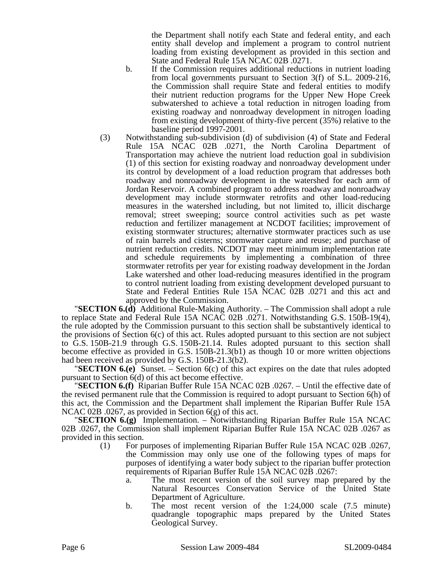the Department shall notify each State and federal entity, and each entity shall develop and implement a program to control nutrient loading from existing development as provided in this section and State and Federal Rule 15A NCAC 02B .0271.

- b. If the Commission requires additional reductions in nutrient loading from local governments pursuant to Section 3(f) of S.L. 2009-216, the Commission shall require State and federal entities to modify their nutrient reduction programs for the Upper New Hope Creek subwatershed to achieve a total reduction in nitrogen loading from existing roadway and nonroadway development in nitrogen loading from existing development of thirty-five percent (35%) relative to the baseline period 1997-2001.
- (3) Notwithstanding sub-subdivision (d) of subdivision (4) of State and Federal Rule 15A NCAC 02B .0271, the North Carolina Department of Transportation may achieve the nutrient load reduction goal in subdivision (1) of this section for existing roadway and nonroadway development under its control by development of a load reduction program that addresses both roadway and nonroadway development in the watershed for each arm of Jordan Reservoir. A combined program to address roadway and nonroadway development may include stormwater retrofits and other load-reducing measures in the watershed including, but not limited to, illicit discharge removal; street sweeping; source control activities such as pet waste reduction and fertilizer management at NCDOT facilities; improvement of existing stormwater structures; alternative stormwater practices such as use of rain barrels and cisterns; stormwater capture and reuse; and purchase of nutrient reduction credits. NCDOT may meet minimum implementation rate and schedule requirements by implementing a combination of three stormwater retrofits per year for existing roadway development in the Jordan Lake watershed and other load-reducing measures identified in the program to control nutrient loading from existing development developed pursuant to State and Federal Entities Rule 15A NCAC 02B .0271 and this act and approved by the Commission.

"**SECTION 6.(d)** Additional Rule-Making Authority. – The Commission shall adopt a rule to replace State and Federal Rule 15A NCAC 02B .0271. Notwithstanding G.S. 150B-19(4), the rule adopted by the Commission pursuant to this section shall be substantively identical to the provisions of Section 6(c) of this act. Rules adopted pursuant to this section are not subject to G.S. 150B-21.9 through G.S. 150B-21.14. Rules adopted pursuant to this section shall become effective as provided in G.S. 150B-21.3(b1) as though 10 or more written objections had been received as provided by G.S. 150B-21.3(b2).

"**SECTION 6.(e)** Sunset. – Section 6(c) of this act expires on the date that rules adopted pursuant to Section 6(d) of this act become effective.

"**SECTION 6.(f)** Riparian Buffer Rule 15A NCAC 02B .0267. – Until the effective date of the revised permanent rule that the Commission is required to adopt pursuant to Section 6(h) of this act, the Commission and the Department shall implement the Riparian Buffer Rule 15A NCAC 02B .0267, as provided in Section 6(g) of this act.

"**SECTION 6.(g)** Implementation. – Notwithstanding Riparian Buffer Rule 15A NCAC 02B .0267, the Commission shall implement Riparian Buffer Rule 15A NCAC 02B .0267 as provided in this section.

- (1) For purposes of implementing Riparian Buffer Rule 15A NCAC 02B .0267, the Commission may only use one of the following types of maps for purposes of identifying a water body subject to the riparian buffer protection requirements of Riparian Buffer Rule 15A NCAC 02B .0267:
	- a. The most recent version of the soil survey map prepared by the Natural Resources Conservation Service of the United State Department of Agriculture.
	- b. The most recent version of the 1:24,000 scale (7.5 minute) quadrangle topographic maps prepared by the United States Geological Survey.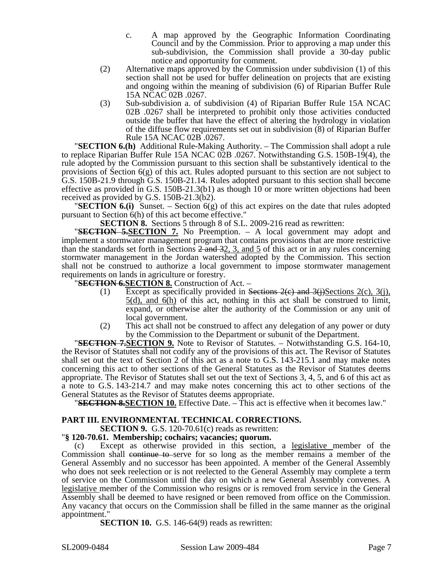- c. A map approved by the Geographic Information Coordinating Council and by the Commission. Prior to approving a map under this sub-subdivision, the Commission shall provide a 30-day public notice and opportunity for comment.
- (2) Alternative maps approved by the Commission under subdivision (1) of this section shall not be used for buffer delineation on projects that are existing and ongoing within the meaning of subdivision (6) of Riparian Buffer Rule 15A NCAC 02B .0267.
- (3) Sub-subdivision a. of subdivision (4) of Riparian Buffer Rule 15A NCAC 02B .0267 shall be interpreted to prohibit only those activities conducted outside the buffer that have the effect of altering the hydrology in violation of the diffuse flow requirements set out in subdivision (8) of Riparian Buffer Rule 15A NCAC 02B .0267.

"**SECTION 6.(h)** Additional Rule-Making Authority. – The Commission shall adopt a rule to replace Riparian Buffer Rule 15A NCAC 02B .0267. Notwithstanding G.S. 150B-19(4), the rule adopted by the Commission pursuant to this section shall be substantively identical to the provisions of Section  $6(g)$  of this act. Rules adopted pursuant to this section are not subject to G.S. 150B-21.9 through G.S. 150B-21.14. Rules adopted pursuant to this section shall become effective as provided in G.S. 150B-21.3(b1) as though 10 or more written objections had been received as provided by G.S. 150B-21.3(b2).

**"SECTION 6.(i)** Sunset. – Section  $6(g)$  of this act expires on the date that rules adopted pursuant to Section 6(h) of this act become effective."

**SECTION 8.** Sections 5 through 8 of S.L. 2009-216 read as rewritten:

"**SECTION 5.SECTION 7.** No Preemption. – A local government may adopt and implement a stormwater management program that contains provisions that are more restrictive than the standards set forth in Sections  $2$  and  $32$ , 3, and 5 of this act or in any rules concerning stormwater management in the Jordan watershed adopted by the Commission. This section shall not be construed to authorize a local government to impose stormwater management requirements on lands in agriculture or forestry.

"**SECTION 6.SECTION 8.** Construction of Act. –

- (1) Except as specifically provided in Sections  $2(e)$  and  $3(i)$ Sections  $2(c)$ ,  $3(i)$ , 5(d), and 6(h) of this act, nothing in this act shall be construed to limit, expand, or otherwise alter the authority of the Commission or any unit of local government.
- (2) This act shall not be construed to affect any delegation of any power or duty

by the Commission to the Department or subunit of the Department. "**SECTION 7.SECTION 9.** Note to Revisor of Statutes. – Notwithstanding G.S. 164-10, the Revisor of Statutes shall not codify any of the provisions of this act. The Revisor of Statutes shall set out the text of Section 2 of this act as a note to G.S. 143-215.1 and may make notes concerning this act to other sections of the General Statutes as the Revisor of Statutes deems appropriate. The Revisor of Statutes shall set out the text of Sections 3, 4, 5, and 6 of this act as a note to G.S. 143-214.7 and may make notes concerning this act to other sections of the

General Statutes as the Revisor of Statutes deems appropriate.<br>
"**SECTION 8.SECTION 10.** Effective Date. – This act is effective when it becomes law."

## **PART III. ENVIRONMENTAL TECHNICAL CORRECTIONS.**

**SECTION 9.** G.S. 120-70.61(c) reads as rewritten:

## "**§ 120-70.61. Membership; cochairs; vacancies; quorum.**

Except as otherwise provided in this section, a legislative member of the Commission shall continue to serve for so long as the member remains a member of the General Assembly and no successor has been appointed. A member of the General Assembly who does not seek reelection or is not reelected to the General Assembly may complete a term of service on the Commission until the day on which a new General Assembly convenes. A legislative member of the Commission who resigns or is removed from service in the General Assembly shall be deemed to have resigned or been removed from office on the Commission. Any vacancy that occurs on the Commission shall be filled in the same manner as the original appointment."

**SECTION 10.** G.S. 146-64(9) reads as rewritten: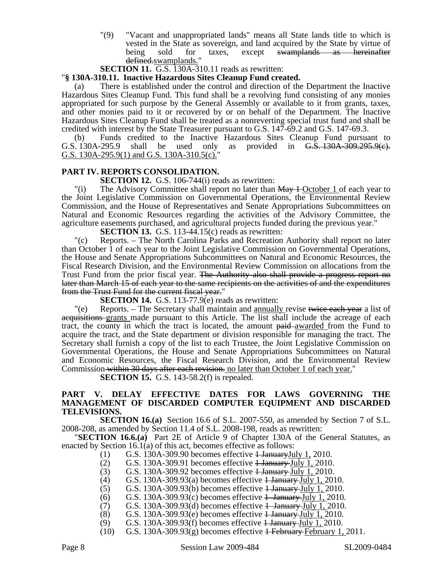"(9) "Vacant and unappropriated lands" means all State lands title to which is vested in the State as sovereign, and land acquired by the State by virtue of being sold for taxes, except swamplands as hereinafter defined.swamplands."

**SECTION 11.** G.S. 130A-310.11 reads as rewritten:

#### "**§ 130A-310.11. Inactive Hazardous Sites Cleanup Fund created.**

There is established under the control and direction of the Department the Inactive Hazardous Sites Cleanup Fund. This fund shall be a revolving fund consisting of any monies appropriated for such purpose by the General Assembly or available to it from grants, taxes, and other monies paid to it or recovered by or on behalf of the Department. The Inactive Hazardous Sites Cleanup Fund shall be treated as a nonreverting special trust fund and shall be credited with interest by the State Treasurer pursuant to G.S. 147-69.2 and G.S. 147-69.3.

(b) Funds credited to the Inactive Hazardous Sites Cleanup Fund pursuant to G.S. 130A-295.9 shall be used only as provided in  $\overline{G.S.}$  130A-309.295.9(c). shall be used only as provided in  $G.S. 130A-309.295.9(c)$ . G.S. 130A-295.9(1) and G.S. 130A-310.5(c).

#### **PART IV. REPORTS CONSOLIDATION.**

**SECTION 12.** G.S. 106-744(i) reads as rewritten:

"(i) The Advisory Committee shall report no later than  $\frac{1}{2}$  - October 1 of each year to the Joint Legislative Commission on Governmental Operations, the Environmental Review Commission, and the House of Representatives and Senate Appropriations Subcommittees on Natural and Economic Resources regarding the activities of the Advisory Committee, the agriculture easements purchased, and agricultural projects funded during the previous year."

**SECTION 13.** G.S. 113-44.15(c) reads as rewritten:

"(c) Reports. – The North Carolina Parks and Recreation Authority shall report no later than October 1 of each year to the Joint Legislative Commission on Governmental Operations, the House and Senate Appropriations Subcommittees on Natural and Economic Resources, the Fiscal Research Division, and the Environmental Review Commission on allocations from the Trust Fund from the prior fiscal year. <del>The Authority also shall provide a progress report no</del> later than March 15 of each year to the same recipients on the activities of and the expenditures from the Trust Fund for the current fiscal year."

**SECTION 14.** G.S. 113-77.9(e) reads as rewritten:

 $\degree$  (e) Reports. – The Secretary shall maintain and annually revise twice each year a list of acquisitions grants made pursuant to this Article. The list shall include the acreage of each tract, the county in which the tract is located, the amount paid-awarded from the Fund to acquire the tract, and the State department or division responsible for managing the tract. The Secretary shall furnish a copy of the list to each Trustee, the Joint Legislative Commission on Governmental Operations, the House and Senate Appropriations Subcommittees on Natural and Economic Resources, the Fiscal Research Division, and the Environmental Review Commission within 30 days after each revision. no later than October 1 of each year."

**SECTION 15.** G.S. 143-58.2(f) is repealed.

#### **PART V. DELAY EFFECTIVE DATES FOR LAWS GOVERNING THE MANAGEMENT OF DISCARDED COMPUTER EQUIPMENT AND DISCARDED TELEVISIONS.**

**SECTION 16.(a)** Section 16.6 of S.L. 2007-550, as amended by Section 7 of S.L. 2008-208, as amended by Section 11.4 of S.L. 2008-198, reads as rewritten:

"**SECTION 16.6.(a)** Part 2E of Article 9 of Chapter 130A of the General Statutes, as enacted by Section 16.1(a) of this act, becomes effective as follows:

- (1) G.S. 130A-309.90 becomes effective  $\frac{1 \text{ January} July}}{1,2010.1}$
- (2) G.S. 130A-309.91 becomes effective  $\frac{1 \text{ January-} July}{2}$  1, 2010.
- $(G)$  G.S. 130A-309.92 becomes effective  $\frac{1}{2}$  January-July 1, 2010.
- (4) G.S. 130A-309.93(a) becomes effective  $\frac{1 \text{ January-} July 1, 2010.}{2010}$
- $(5)$  G.S. 130A-309.93(b) becomes effective  $\frac{1 \text{ January-} July 1, 2010.}{2010}$
- 
- (6) G.S. 130A-309.93(c) becomes effective  $\frac{1}{2}$  January July 1, 2010.<br>(7) G.S. 130A-309.93(d) becomes effective  $\frac{1}{2}$  January July 1, 2010.
- (7) G.S. 130A-309.93(d) becomes effective  $\frac{1}{2}$  January July 1, 2010.<br>(8) G.S. 130A-309.93(e) becomes effective  $\frac{1}{2}$  January July 1, 2010.
- (8) G.S. 130A-309.93(e) becomes effective  $\frac{1 \text{ January July 1, } 2010.}{1 \text{ day 1, } 2010.}$ <br>(9) G.S. 130A-309.93(f) becomes effective  $\frac{1 \text{ January July 1, } 2010.}{1 \text{ day 1, } 2010.}$ G.S. 130A-309.93 $(f)$  becomes effective  $1$  January July 1, 2010.
- (10) G.S. 130A-309.93(g) becomes effective  $\frac{1}{2}$  February February 1, 2011.